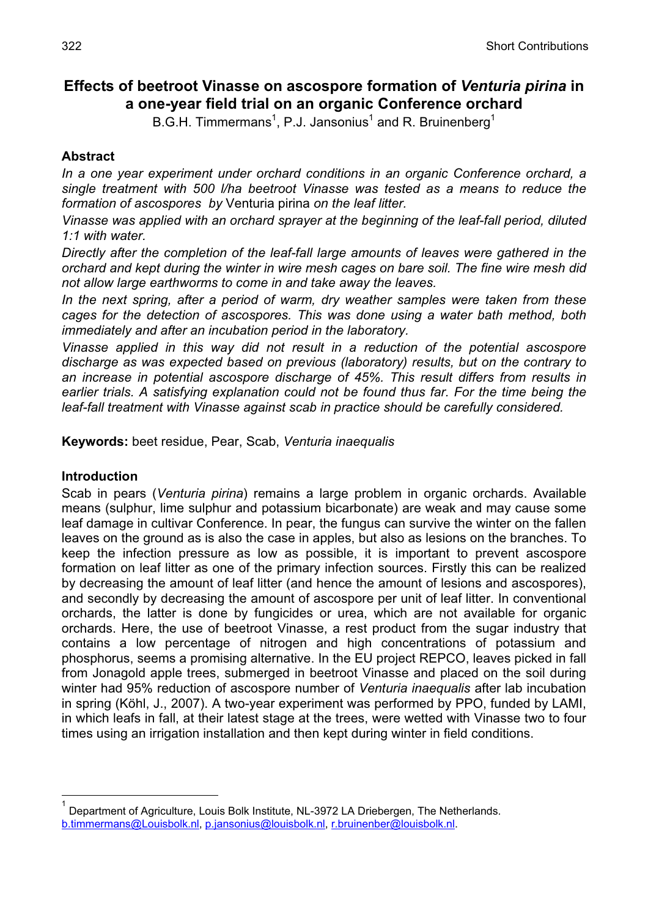# **Effects of beetroot Vinasse on ascospore formation of** *Venturia pirina* **in a one-year field trial on an organic Conference orchard**

B.G.H. Timmermans<sup>1</sup>, P.J. Jansonius<sup>1</sup> and R. Bruinenberg<sup>1</sup>

# **Abstract**

*In a one year experiment under orchard conditions in an organic Conference orchard, a single treatment with 500 l/ha beetroot Vinasse was tested as a means to reduce the formation of ascospores by* Venturia pirina *on the leaf litter.* 

*Vinasse was applied with an orchard sprayer at the beginning of the leaf-fall period, diluted 1:1 with water.* 

*Directly after the completion of the leaf-fall large amounts of leaves were gathered in the orchard and kept during the winter in wire mesh cages on bare soil. The fine wire mesh did not allow large earthworms to come in and take away the leaves.* 

*In the next spring, after a period of warm, dry weather samples were taken from these cages for the detection of ascospores. This was done using a water bath method, both immediately and after an incubation period in the laboratory.* 

*Vinasse applied in this way did not result in a reduction of the potential ascospore discharge as was expected based on previous (laboratory) results, but on the contrary to an increase in potential ascospore discharge of 45%. This result differs from results in earlier trials. A satisfying explanation could not be found thus far. For the time being the leaf-fall treatment with Vinasse against scab in practice should be carefully considered.* 

**Keywords:** beet residue, Pear, Scab, *Venturia inaequalis*

# **Introduction**

 $\overline{a}$ 

Scab in pears (*Venturia pirina*) remains a large problem in organic orchards. Available means (sulphur, lime sulphur and potassium bicarbonate) are weak and may cause some leaf damage in cultivar Conference. In pear, the fungus can survive the winter on the fallen leaves on the ground as is also the case in apples, but also as lesions on the branches. To keep the infection pressure as low as possible, it is important to prevent ascospore formation on leaf litter as one of the primary infection sources. Firstly this can be realized by decreasing the amount of leaf litter (and hence the amount of lesions and ascospores), and secondly by decreasing the amount of ascospore per unit of leaf litter. In conventional orchards, the latter is done by fungicides or urea, which are not available for organic orchards. Here, the use of beetroot Vinasse, a rest product from the sugar industry that contains a low percentage of nitrogen and high concentrations of potassium and phosphorus, seems a promising alternative. In the EU project REPCO, leaves picked in fall from Jonagold apple trees, submerged in beetroot Vinasse and placed on the soil during winter had 95% reduction of ascospore number of *Venturia inaequalis* after lab incubation in spring (Köhl, J., 2007). A two-year experiment was performed by PPO, funded by LAMI, in which leafs in fall, at their latest stage at the trees, were wetted with Vinasse two to four times using an irrigation installation and then kept during winter in field conditions.

<sup>1</sup> Department of Agriculture, Louis Bolk Institute, NL-3972 LA Driebergen, The Netherlands. b.timmermans@Louisbolk.nl, p.jansonius@louisbolk.nl, r.bruinenber@louisbolk.nl.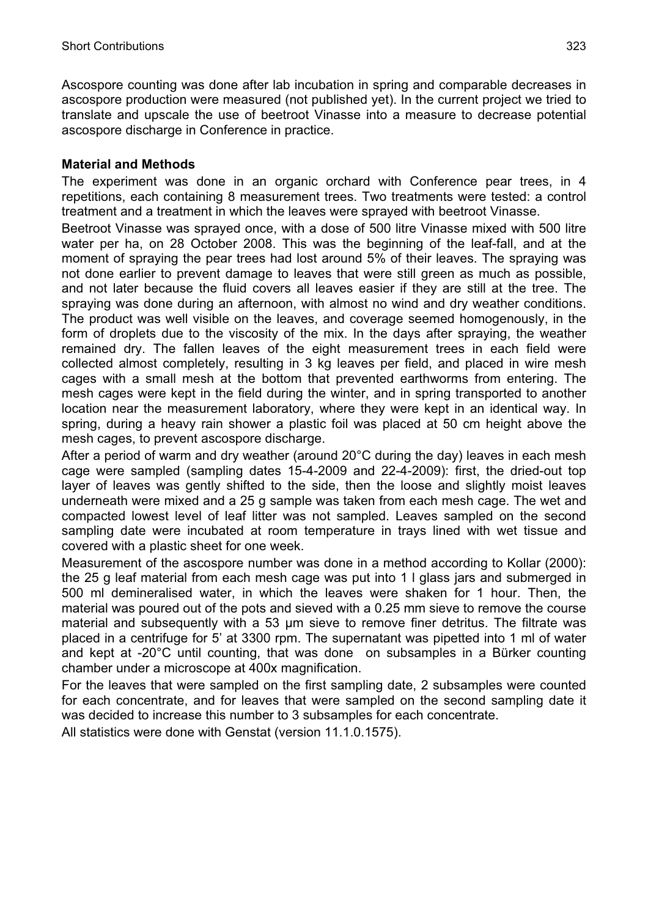Ascospore counting was done after lab incubation in spring and comparable decreases in ascospore production were measured (not published yet). In the current project we tried to translate and upscale the use of beetroot Vinasse into a measure to decrease potential ascospore discharge in Conference in practice.

## **Material and Methods**

The experiment was done in an organic orchard with Conference pear trees, in 4 repetitions, each containing 8 measurement trees. Two treatments were tested: a control treatment and a treatment in which the leaves were sprayed with beetroot Vinasse.

Beetroot Vinasse was sprayed once, with a dose of 500 litre Vinasse mixed with 500 litre water per ha, on 28 October 2008. This was the beginning of the leaf-fall, and at the moment of spraying the pear trees had lost around 5% of their leaves. The spraying was not done earlier to prevent damage to leaves that were still green as much as possible, and not later because the fluid covers all leaves easier if they are still at the tree. The spraying was done during an afternoon, with almost no wind and dry weather conditions. The product was well visible on the leaves, and coverage seemed homogenously, in the form of droplets due to the viscosity of the mix. In the days after spraying, the weather remained dry. The fallen leaves of the eight measurement trees in each field were collected almost completely, resulting in 3 kg leaves per field, and placed in wire mesh cages with a small mesh at the bottom that prevented earthworms from entering. The mesh cages were kept in the field during the winter, and in spring transported to another location near the measurement laboratory, where they were kept in an identical way. In spring, during a heavy rain shower a plastic foil was placed at 50 cm height above the mesh cages, to prevent ascospore discharge.

After a period of warm and dry weather (around 20°C during the day) leaves in each mesh cage were sampled (sampling dates 15-4-2009 and 22-4-2009): first, the dried-out top layer of leaves was gently shifted to the side, then the loose and slightly moist leaves underneath were mixed and a 25 g sample was taken from each mesh cage. The wet and compacted lowest level of leaf litter was not sampled. Leaves sampled on the second sampling date were incubated at room temperature in trays lined with wet tissue and covered with a plastic sheet for one week.

Measurement of the ascospore number was done in a method according to Kollar (2000): the 25 g leaf material from each mesh cage was put into 1 l glass jars and submerged in 500 ml demineralised water, in which the leaves were shaken for 1 hour. Then, the material was poured out of the pots and sieved with a 0.25 mm sieve to remove the course material and subsequently with a 53 µm sieve to remove finer detritus. The filtrate was placed in a centrifuge for 5' at 3300 rpm. The supernatant was pipetted into 1 ml of water and kept at -20°C until counting, that was done on subsamples in a Bürker counting chamber under a microscope at 400x magnification.

For the leaves that were sampled on the first sampling date, 2 subsamples were counted for each concentrate, and for leaves that were sampled on the second sampling date it was decided to increase this number to 3 subsamples for each concentrate.

All statistics were done with Genstat (version 11.1.0.1575).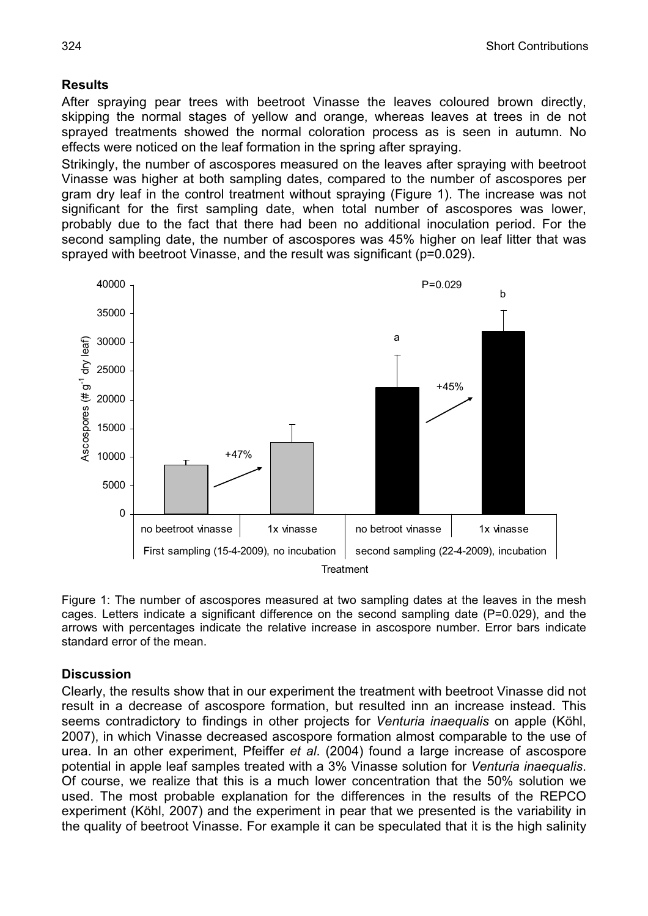#### **Results**

After spraying pear trees with beetroot Vinasse the leaves coloured brown directly, skipping the normal stages of yellow and orange, whereas leaves at trees in de not sprayed treatments showed the normal coloration process as is seen in autumn. No effects were noticed on the leaf formation in the spring after spraying.

Strikingly, the number of ascospores measured on the leaves after spraying with beetroot Vinasse was higher at both sampling dates, compared to the number of ascospores per gram dry leaf in the control treatment without spraying (Figure 1). The increase was not significant for the first sampling date, when total number of ascospores was lower, probably due to the fact that there had been no additional inoculation period. For the second sampling date, the number of ascospores was 45% higher on leaf litter that was sprayed with beetroot Vinasse, and the result was significant (p=0.029).



Figure 1: The number of ascospores measured at two sampling dates at the leaves in the mesh cages. Letters indicate a significant difference on the second sampling date (P=0.029), and the arrows with percentages indicate the relative increase in ascospore number. Error bars indicate standard error of the mean.

#### **Discussion**

Clearly, the results show that in our experiment the treatment with beetroot Vinasse did not result in a decrease of ascospore formation, but resulted inn an increase instead. This seems contradictory to findings in other projects for *Venturia inaequalis* on apple (Köhl, 2007), in which Vinasse decreased ascospore formation almost comparable to the use of urea. In an other experiment, Pfeiffer *et al*. (2004) found a large increase of ascospore potential in apple leaf samples treated with a 3% Vinasse solution for *Venturia inaequalis*. Of course, we realize that this is a much lower concentration that the 50% solution we used. The most probable explanation for the differences in the results of the REPCO experiment (Köhl, 2007) and the experiment in pear that we presented is the variability in the quality of beetroot Vinasse. For example it can be speculated that it is the high salinity